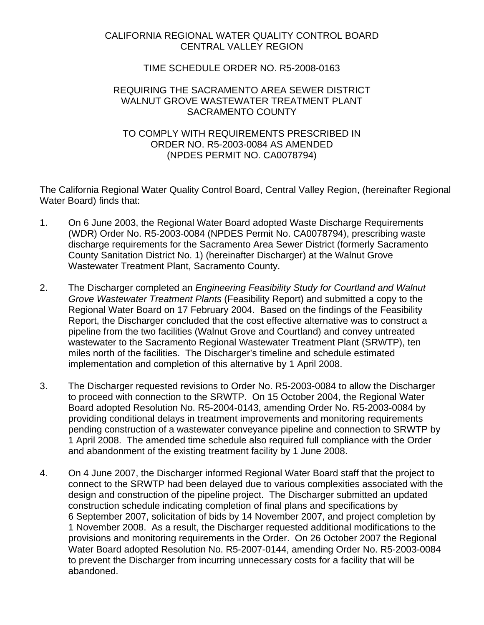# CALIFORNIA REGIONAL WATER QUALITY CONTROL BOARD CENTRAL VALLEY REGION

## TIME SCHEDULE ORDER NO. R5-2008-0163

### REQUIRING THE SACRAMENTO AREA SEWER DISTRICT WALNUT GROVE WASTEWATER TREATMENT PLANT SACRAMENTO COUNTY

## TO COMPLY WITH REQUIREMENTS PRESCRIBED IN ORDER NO. R5-2003-0084 AS AMENDED (NPDES PERMIT NO. CA0078794)

The California Regional Water Quality Control Board, Central Valley Region, (hereinafter Regional Water Board) finds that:

- 1. On 6 June 2003, the Regional Water Board adopted Waste Discharge Requirements (WDR) Order No. R5-2003-0084 (NPDES Permit No. CA0078794), prescribing waste discharge requirements for the Sacramento Area Sewer District (formerly Sacramento County Sanitation District No. 1) (hereinafter Discharger) at the Walnut Grove Wastewater Treatment Plant, Sacramento County.
- 2. The Discharger completed an *Engineering Feasibility Study for Courtland and Walnut Grove Wastewater Treatment Plants* (Feasibility Report) and submitted a copy to the Regional Water Board on 17 February 2004. Based on the findings of the Feasibility Report, the Discharger concluded that the cost effective alternative was to construct a pipeline from the two facilities (Walnut Grove and Courtland) and convey untreated wastewater to the Sacramento Regional Wastewater Treatment Plant (SRWTP), ten miles north of the facilities. The Discharger's timeline and schedule estimated implementation and completion of this alternative by 1 April 2008.
- 3. The Discharger requested revisions to Order No. R5-2003-0084 to allow the Discharger to proceed with connection to the SRWTP. On 15 October 2004, the Regional Water Board adopted Resolution No. R5-2004-0143, amending Order No. R5-2003-0084 by providing conditional delays in treatment improvements and monitoring requirements pending construction of a wastewater conveyance pipeline and connection to SRWTP by 1 April 2008. The amended time schedule also required full compliance with the Order and abandonment of the existing treatment facility by 1 June 2008.
- 4. On 4 June 2007, the Discharger informed Regional Water Board staff that the project to connect to the SRWTP had been delayed due to various complexities associated with the design and construction of the pipeline project. The Discharger submitted an updated construction schedule indicating completion of final plans and specifications by 6 September 2007, solicitation of bids by 14 November 2007, and project completion by 1 November 2008. As a result, the Discharger requested additional modifications to the provisions and monitoring requirements in the Order. On 26 October 2007 the Regional Water Board adopted Resolution No. R5-2007-0144, amending Order No. R5-2003-0084 to prevent the Discharger from incurring unnecessary costs for a facility that will be abandoned.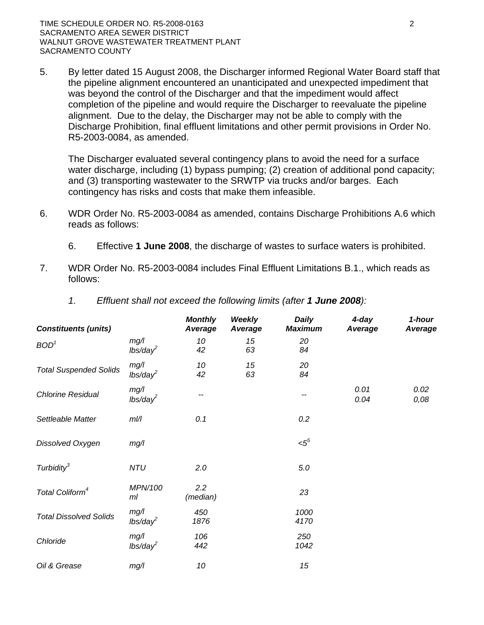5. By letter dated 15 August 2008, the Discharger informed Regional Water Board staff that the pipeline alignment encountered an unanticipated and unexpected impediment that was beyond the control of the Discharger and that the impediment would affect completion of the pipeline and would require the Discharger to reevaluate the pipeline alignment. Due to the delay, the Discharger may not be able to comply with the Discharge Prohibition, final effluent limitations and other permit provisions in Order No. R5-2003-0084, as amended.

The Discharger evaluated several contingency plans to avoid the need for a surface water discharge, including (1) bypass pumping; (2) creation of additional pond capacity; and (3) transporting wastewater to the SRWTP via trucks and/or barges. Each contingency has risks and costs that make them infeasible.

- 6. WDR Order No. R5-2003-0084 as amended, contains Discharge Prohibitions A.6 which reads as follows:
	- 6. Effective **1 June 2008**, the discharge of wastes to surface waters is prohibited.
- 7. WDR Order No. R5-2003-0084 includes Final Effluent Limitations B.1., which reads as follows:

|  | Effluent shall not exceed the following limits (after 1 June 2008): |  |  |  |  |
|--|---------------------------------------------------------------------|--|--|--|--|
|--|---------------------------------------------------------------------|--|--|--|--|

| <b>Constituents (units)</b>   |                              | <b>Monthly</b><br>Average | <b>Weekly</b><br>Average | <b>Daily</b><br><b>Maximum</b> | 4-day<br>Average | 1-hour<br>Average |
|-------------------------------|------------------------------|---------------------------|--------------------------|--------------------------------|------------------|-------------------|
| BOD <sup>1</sup>              | mg/<br>$lbs/day^2$           | 10<br>42                  | 15<br>63                 | 20<br>84                       |                  |                   |
| <b>Total Suspended Solids</b> | mg/l<br>lbs/day <sup>2</sup> | 10<br>42                  | 15<br>63                 | 20<br>84                       |                  |                   |
| <b>Chlorine Residual</b>      | mg/l<br>lbs/day <sup>2</sup> | --                        |                          | --                             | 0.01<br>0.04     | 0.02<br>0,08      |
| Settleable Matter             | $m$ //                       | 0.1                       |                          | 0.2                            |                  |                   |
| Dissolved Oxygen              | mg/1                         |                           |                          | $<$ 5 $5$                      |                  |                   |
| Turbidity <sup>3</sup>        | <b>NTU</b>                   | 2.0                       |                          | 5.0                            |                  |                   |
| Total Coliform <sup>4</sup>   | MPN/100<br>ml                | 2.2<br>(median)           |                          | 23                             |                  |                   |
| <b>Total Dissolved Solids</b> | mg/1<br>lbs/day <sup>2</sup> | 450<br>1876               |                          | 1000<br>4170                   |                  |                   |
| Chloride                      | mg/1<br>$lbs/day^2$          | 106<br>442                |                          | 250<br>1042                    |                  |                   |
| Oil & Grease                  | mg/1                         | 10                        |                          | 15                             |                  |                   |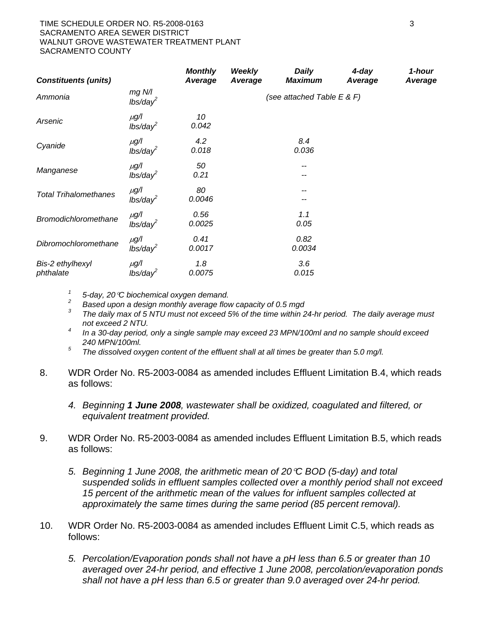#### TIME SCHEDULE ORDER NO. R5-2008-0163 3 SACRAMENTO AREA SEWER DISTRICT WALNUT GROVE WASTEWATER TREATMENT PLANT SACRAMENTO COUNTY

| <b>Constituents (units)</b>   | <b>Monthly</b><br>Average         | <b>Weekly</b><br>Average | <b>Daily</b><br><b>Maximum</b> | 4-day<br>Average               | 1-hour<br>Average |  |
|-------------------------------|-----------------------------------|--------------------------|--------------------------------|--------------------------------|-------------------|--|
| Ammonia                       | $mg$ N/l<br>$lbs/day^2$           |                          |                                | (see attached Table $E \& F$ ) |                   |  |
| Arsenic                       | $\mu$ g/l<br>lbs/day <sup>2</sup> | 10<br>0.042              |                                |                                |                   |  |
| Cyanide                       | $\mu$ g/l<br>$lbs/day^2$          | 4.2<br>0.018             |                                | 8.4<br>0.036                   |                   |  |
| Manganese                     | $\mu$ g/l<br>$lbs/day^2$          | 50<br>0.21               |                                | --                             |                   |  |
| <b>Total Trihalomethanes</b>  | $\mu$ g/l<br>lbs/day <sup>2</sup> | 80<br>0.0046             |                                |                                |                   |  |
| <b>Bromodichloromethane</b>   | $\mu$ g/l<br>$lbs/day^2$          | 0.56<br>0.0025           |                                | 1.1<br>0.05                    |                   |  |
| Dibromochloromethane          | $\mu$ g/l<br>$lbs/day^2$          | 0.41<br>0.0017           |                                | 0.82<br>0.0034                 |                   |  |
| Bis-2 ethylhexyl<br>phthalate | $\mu$ g/l<br>$lbs/day^2$          | 1.8<br>0.0075            |                                | 3.6<br>0.015                   |                   |  |

*1 5-day, 20*°*C biochemical oxygen demand.* 

*2 Based upon a design monthly average flow capacity of 0.5 mgd* 

- *3 The daily max of 5 NTU must not exceed 5% of the time within 24-hr period. The daily average must not exceed 2 NTU.*
- *4 In a 30-day period, only a single sample may exceed 23 MPN/100ml and no sample should exceed 240 MPN/100ml.*
- *5 The dissolved oxygen content of the effluent shall at all times be greater than 5.0 mg/l.*
- 8. WDR Order No. R5-2003-0084 as amended includes Effluent Limitation B.4, which reads as follows:
	- *4. Beginning 1 June 2008, wastewater shall be oxidized, coagulated and filtered, or equivalent treatment provided.*
- 9. WDR Order No. R5-2003-0084 as amended includes Effluent Limitation B.5, which reads as follows:
	- *5. Beginning 1 June 2008, the arithmetic mean of 20*°*C BOD (5-day) and total suspended solids in effluent samples collected over a monthly period shall not exceed 15 percent of the arithmetic mean of the values for influent samples collected at approximately the same times during the same period (85 percent removal).*
- 10. WDR Order No. R5-2003-0084 as amended includes Effluent Limit C.5, which reads as follows:
	- *5. Percolation/Evaporation ponds shall not have a pH less than 6.5 or greater than 10 averaged over 24-hr period, and effective 1 June 2008, percolation/evaporation ponds shall not have a pH less than 6.5 or greater than 9.0 averaged over 24-hr period.*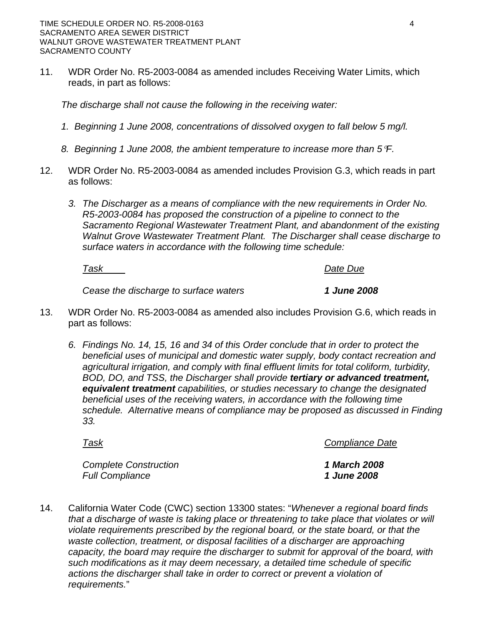11. WDR Order No. R5-2003-0084 as amended includes Receiving Water Limits, which reads, in part as follows:

*The discharge shall not cause the following in the receiving water:* 

- *1. Beginning 1 June 2008, concentrations of dissolved oxygen to fall below 5 mg/l.*
- *8. Beginning 1 June 2008, the ambient temperature to increase more than 5*°*F.*
- 12. WDR Order No. R5-2003-0084 as amended includes Provision G.3, which reads in part as follows:
	- *3. The Discharger as a means of compliance with the new requirements in Order No. R5-2003-0084 has proposed the construction of a pipeline to connect to the Sacramento Regional Wastewater Treatment Plant, and abandonment of the existing Walnut Grove Wastewater Treatment Plant. The Discharger shall cease discharge to surface waters in accordance with the following time schedule:*

*Task Date Due*

*Cease the discharge to surface waters 1 June 2008* 

- 13. WDR Order No. R5-2003-0084 as amended also includes Provision G.6, which reads in part as follows:
	- *6. Findings No. 14, 15, 16 and 34 of this Order conclude that in order to protect the beneficial uses of municipal and domestic water supply, body contact recreation and agricultural irrigation, and comply with final effluent limits for total coliform, turbidity, BOD, DO, and TSS, the Discharger shall provide tertiary or advanced treatment, equivalent treatment capabilities, or studies necessary to change the designated beneficial uses of the receiving waters, in accordance with the following time schedule. Alternative means of compliance may be proposed as discussed in Finding 33.*

*Task Compliance Date*

*Complete Construction 1 March 2008 Full Compliance 1 June 2008*

14. California Water Code (CWC) section 13300 states: "*Whenever a regional board finds that a discharge of waste is taking place or threatening to take place that violates or will violate requirements prescribed by the regional board, or the state board, or that the waste collection, treatment, or disposal facilities of a discharger are approaching capacity, the board may require the discharger to submit for approval of the board, with such modifications as it may deem necessary, a detailed time schedule of specific actions the discharger shall take in order to correct or prevent a violation of requirements.*"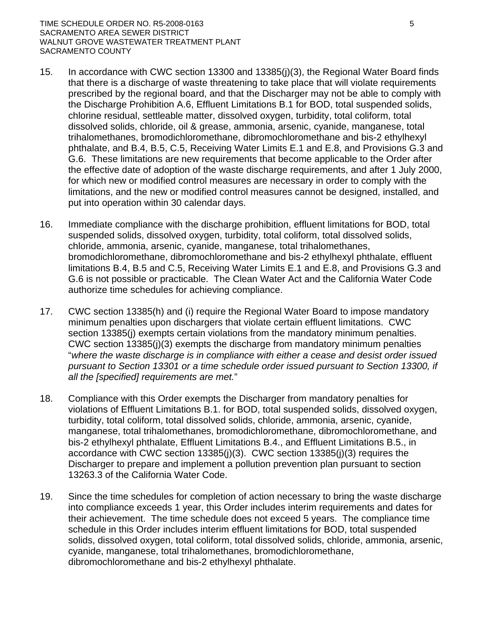#### TIME SCHEDULE ORDER NO. R5-2008-0163 5 SACRAMENTO AREA SEWER DISTRICT WALNUT GROVE WASTEWATER TREATMENT PLANT SACRAMENTO COUNTY

- 15. In accordance with CWC section 13300 and 13385(j)(3), the Regional Water Board finds that there is a discharge of waste threatening to take place that will violate requirements prescribed by the regional board, and that the Discharger may not be able to comply with the Discharge Prohibition A.6, Effluent Limitations B.1 for BOD, total suspended solids, chlorine residual, settleable matter, dissolved oxygen, turbidity, total coliform, total dissolved solids, chloride, oil & grease, ammonia, arsenic, cyanide, manganese, total trihalomethanes, bromodichloromethane, dibromochloromethane and bis-2 ethylhexyl phthalate, and B.4, B.5, C.5, Receiving Water Limits E.1 and E.8, and Provisions G.3 and G.6. These limitations are new requirements that become applicable to the Order after the effective date of adoption of the waste discharge requirements, and after 1 July 2000, for which new or modified control measures are necessary in order to comply with the limitations, and the new or modified control measures cannot be designed, installed, and put into operation within 30 calendar days.
- 16. Immediate compliance with the discharge prohibition, effluent limitations for BOD, total suspended solids, dissolved oxygen, turbidity, total coliform, total dissolved solids, chloride, ammonia, arsenic, cyanide, manganese, total trihalomethanes, bromodichloromethane, dibromochloromethane and bis-2 ethylhexyl phthalate, effluent limitations B.4, B.5 and C.5, Receiving Water Limits E.1 and E.8, and Provisions G.3 and G.6 is not possible or practicable. The Clean Water Act and the California Water Code authorize time schedules for achieving compliance.
- 17. CWC section 13385(h) and (i) require the Regional Water Board to impose mandatory minimum penalties upon dischargers that violate certain effluent limitations. CWC section 13385(j) exempts certain violations from the mandatory minimum penalties. CWC section 13385(j)(3) exempts the discharge from mandatory minimum penalties "*where the waste discharge is in compliance with either a cease and desist order issued pursuant to Section 13301 or a time schedule order issued pursuant to Section 13300, if all the [specified] requirements are met.*"
- 18. Compliance with this Order exempts the Discharger from mandatory penalties for violations of Effluent Limitations B.1. for BOD, total suspended solids, dissolved oxygen, turbidity, total coliform, total dissolved solids, chloride, ammonia, arsenic, cyanide, manganese, total trihalomethanes, bromodichloromethane, dibromochloromethane, and bis-2 ethylhexyl phthalate, Effluent Limitations B.4., and Effluent Limitations B.5., in accordance with CWC section 13385(j)(3). CWC section 13385(j)(3) requires the Discharger to prepare and implement a pollution prevention plan pursuant to section 13263.3 of the California Water Code.
- 19. Since the time schedules for completion of action necessary to bring the waste discharge into compliance exceeds 1 year, this Order includes interim requirements and dates for their achievement. The time schedule does not exceed 5 years. The compliance time schedule in this Order includes interim effluent limitations for BOD, total suspended solids, dissolved oxygen, total coliform, total dissolved solids, chloride, ammonia, arsenic, cyanide, manganese, total trihalomethanes, bromodichloromethane, dibromochloromethane and bis-2 ethylhexyl phthalate.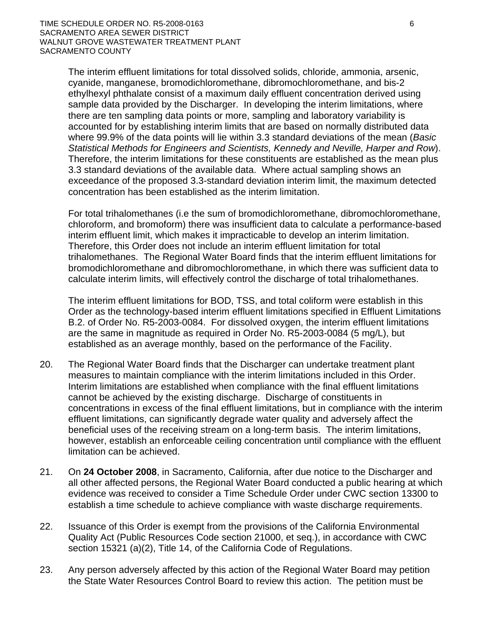The interim effluent limitations for total dissolved solids, chloride, ammonia, arsenic, cyanide, manganese, bromodichloromethane, dibromochloromethane, and bis-2 ethylhexyl phthalate consist of a maximum daily effluent concentration derived using sample data provided by the Discharger. In developing the interim limitations, where there are ten sampling data points or more, sampling and laboratory variability is accounted for by establishing interim limits that are based on normally distributed data where 99.9% of the data points will lie within 3.3 standard deviations of the mean (*Basic Statistical Methods for Engineers and Scientists, Kennedy and Neville, Harper and Row*). Therefore, the interim limitations for these constituents are established as the mean plus 3.3 standard deviations of the available data. Where actual sampling shows an exceedance of the proposed 3.3-standard deviation interim limit, the maximum detected concentration has been established as the interim limitation.

For total trihalomethanes (i.e the sum of bromodichloromethane, dibromochloromethane, chloroform, and bromoform) there was insufficient data to calculate a performance-based interim effluent limit, which makes it impracticable to develop an interim limitation. Therefore, this Order does not include an interim effluent limitation for total trihalomethanes. The Regional Water Board finds that the interim effluent limitations for bromodichloromethane and dibromochloromethane, in which there was sufficient data to calculate interim limits, will effectively control the discharge of total trihalomethanes.

The interim effluent limitations for BOD, TSS, and total coliform were establish in this Order as the technology-based interim effluent limitations specified in Effluent Limitations B.2. of Order No. R5-2003-0084. For dissolved oxygen, the interim effluent limitations are the same in magnitude as required in Order No. R5-2003-0084 (5 mg/L), but established as an average monthly, based on the performance of the Facility.

- 20. The Regional Water Board finds that the Discharger can undertake treatment plant measures to maintain compliance with the interim limitations included in this Order. Interim limitations are established when compliance with the final effluent limitations cannot be achieved by the existing discharge. Discharge of constituents in concentrations in excess of the final effluent limitations, but in compliance with the interim effluent limitations, can significantly degrade water quality and adversely affect the beneficial uses of the receiving stream on a long-term basis. The interim limitations, however, establish an enforceable ceiling concentration until compliance with the effluent limitation can be achieved.
- 21. On **24 October 2008**, in Sacramento, California, after due notice to the Discharger and all other affected persons, the Regional Water Board conducted a public hearing at which evidence was received to consider a Time Schedule Order under CWC section 13300 to establish a time schedule to achieve compliance with waste discharge requirements.
- 22. Issuance of this Order is exempt from the provisions of the California Environmental Quality Act (Public Resources Code section 21000, et seq.), in accordance with CWC section 15321 (a)(2), Title 14, of the California Code of Regulations.
- 23. Any person adversely affected by this action of the Regional Water Board may petition the State Water Resources Control Board to review this action. The petition must be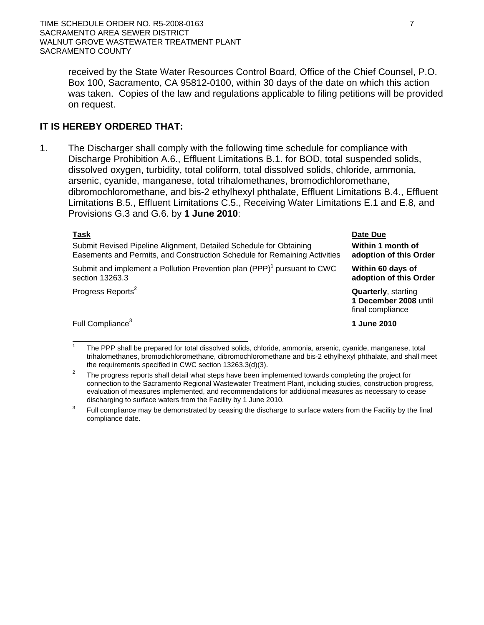received by the State Water Resources Control Board, Office of the Chief Counsel, P.O. Box 100, Sacramento, CA 95812-0100, within 30 days of the date on which this action was taken. Copies of the law and regulations applicable to filing petitions will be provided on request.

# **IT IS HEREBY ORDERED THAT:**

1. The Discharger shall comply with the following time schedule for compliance with Discharge Prohibition A.6., Effluent Limitations B.1. for BOD, total suspended solids, dissolved oxygen, turbidity, total coliform, total dissolved solids, chloride, ammonia, arsenic, cyanide, manganese, total trihalomethanes, bromodichloromethane, dibromochloromethane, and bis-2 ethylhexyl phthalate, Effluent Limitations B.4., Effluent Limitations B.5., Effluent Limitations C.5., Receiving Water Limitations E.1 and E.8, and Provisions G.3 and G.6. by **1 June 2010**:

|--|--|--|

 $\overline{a}$ 

Submit Revised Pipeline Alignment, Detailed Schedule for Obtaining Easements and Permits, and Construction Schedule for Remaining Activities

Submit and implement a Pollution Prevention plan  $(PPP)^1$  pursuant to CWC section 13263.3

Progress Reports<sup>2</sup> **Quarterly**, starting

Full Compliance<sup>3</sup> **1 June 2010** 

**Date Due Within 1 month of adoption of this Order** 

**Within 60 days of adoption of this Order** 

**1 December 2008** until final compliance

<sup>1</sup> The PPP shall be prepared for total dissolved solids, chloride, ammonia, arsenic, cyanide, manganese, total trihalomethanes, bromodichloromethane, dibromochloromethane and bis-2 ethylhexyl phthalate, and shall meet the requirements specified in CWC section 13263.3(d)(3).<br><sup>2</sup> The progress reports shall detail what steps have been implemented towards completing the project for

connection to the Sacramento Regional Wastewater Treatment Plant, including studies, construction progress, evaluation of measures implemented, and recommendations for additional measures as necessary to cease discharging to surface waters from the Facility by 1 June 2010.<br><sup>3</sup> Full compliance may be demonstrated by ceasing the discharge to surface waters from the Facility by the final

compliance date.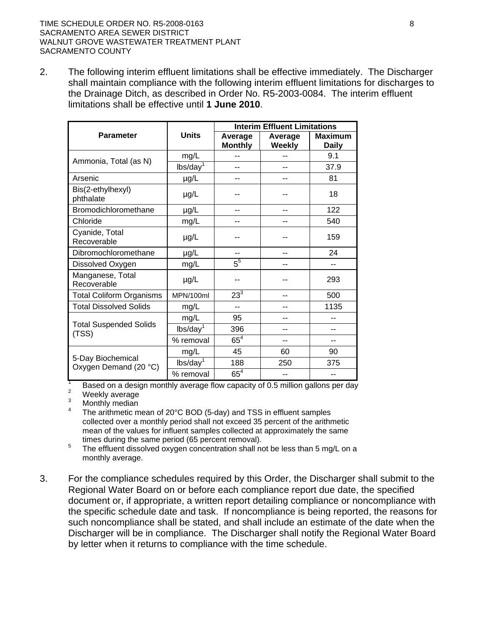### TIME SCHEDULE ORDER NO. R5-2008-0163 8 SACRAMENTO AREA SEWER DISTRICT WALNUT GROVE WASTEWATER TREATMENT PLANT SACRAMENTO COUNTY

2. The following interim effluent limitations shall be effective immediately. The Discharger shall maintain compliance with the following interim effluent limitations for discharges to the Drainage Ditch, as described in Order No. R5-2003-0084. The interim effluent limitations shall be effective until **1 June 2010**.

|                                                                                   |                      | <b>Interim Effluent Limitations</b> |                   |                                |  |
|-----------------------------------------------------------------------------------|----------------------|-------------------------------------|-------------------|--------------------------------|--|
| <b>Parameter</b>                                                                  | <b>Units</b>         | Average<br><b>Monthly</b>           | Average<br>Weekly | <b>Maximum</b><br><b>Daily</b> |  |
| Ammonia, Total (as N)                                                             | mg/L                 |                                     |                   | 9.1                            |  |
|                                                                                   | lbs/day <sup>1</sup> |                                     |                   | 37.9                           |  |
| Arsenic                                                                           | µg/L                 | --                                  |                   | 81                             |  |
| Bis(2-ethylhexyl)<br>phthalate                                                    | µg/L                 |                                     |                   | 18                             |  |
| Bromodichloromethane                                                              | µg/L                 |                                     |                   | 122                            |  |
| Chloride                                                                          | mg/L                 | --                                  |                   | 540                            |  |
| Cyanide, Total<br>Recoverable                                                     | µg/L                 |                                     |                   | 159                            |  |
| Dibromochloromethane                                                              | µg/L                 | $\overline{a}$                      |                   | 24                             |  |
| Dissolved Oxygen                                                                  | mg/L                 | $5^5$                               |                   | --                             |  |
| Manganese, Total<br>Recoverable                                                   | $\mu$ g/L            |                                     |                   | 293                            |  |
| <b>Total Coliform Organisms</b>                                                   | MPN/100ml            | $23^{3}$                            |                   | 500                            |  |
| <b>Total Dissolved Solids</b>                                                     | mg/L                 | $-$                                 |                   | 1135                           |  |
|                                                                                   | mg/L                 | 95                                  |                   |                                |  |
| <b>Total Suspended Solids</b><br>(TSS)                                            | lbs/day <sup>1</sup> | 396                                 |                   | --                             |  |
|                                                                                   | % removal            | $65^4$                              | --                | --                             |  |
|                                                                                   | mg/L                 | 45                                  | 60                | 90                             |  |
| 5-Day Biochemical<br>Oxygen Demand (20 °C)                                        | lbs/day <sup>1</sup> | 188                                 | 250               | 375                            |  |
| Board on a decise monthly overage flow conseity of $0.5$ million galleria par dev | % removal            | $65^4$                              |                   |                                |  |

Based on a design monthly average flow capacity of 0.5 million gallons per day  $\frac{2}{3}$ 

<sup>2</sup> Weekly average

3 Monthly median

- 4 The arithmetic mean of 20°C BOD (5-day) and TSS in effluent samples collected over a monthly period shall not exceed 35 percent of the arithmetic mean of the values for influent samples collected at approximately the same times during the same period (65 percent removal).
- The effluent dissolved oxygen concentration shall not be less than 5 mg/L on a monthly average.
- 3. For the compliance schedules required by this Order, the Discharger shall submit to the Regional Water Board on or before each compliance report due date, the specified document or, if appropriate, a written report detailing compliance or noncompliance with the specific schedule date and task. If noncompliance is being reported, the reasons for such noncompliance shall be stated, and shall include an estimate of the date when the Discharger will be in compliance. The Discharger shall notify the Regional Water Board by letter when it returns to compliance with the time schedule.